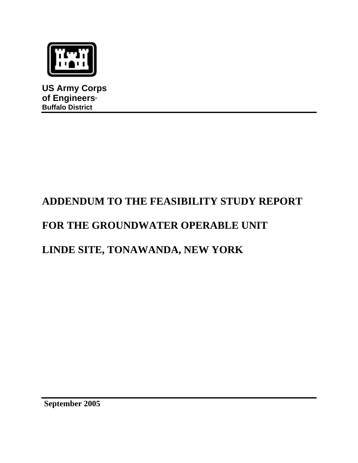

**US Army Corps of Engineers® Buffalo District**

# **ADDENDUM TO THE FEASIBILITY STUDY REPORT**

# **FOR THE GROUNDWATER OPERABLE UNIT**

# **LINDE SITE, TONAWANDA, NEW YORK**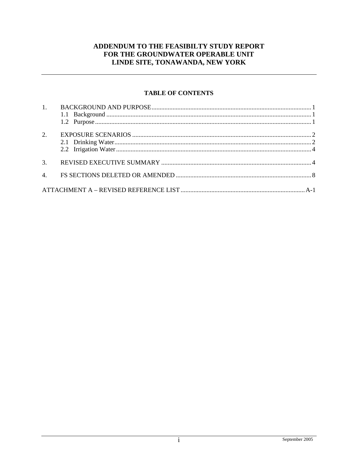# ADDENDUM TO THE FEASIBILTY STUDY REPORT FOR THE GROUNDWATER OPERABLE UNIT LINDE SITE, TONAWANDA, NEW YORK

## **TABLE OF CONTENTS**

| 1. |  |
|----|--|
|    |  |
| 2. |  |
|    |  |
|    |  |
|    |  |
| 3. |  |
|    |  |
|    |  |
|    |  |
|    |  |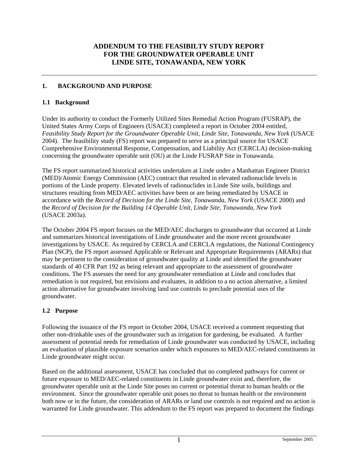# **ADDENDUM TO THE FEASIBILTY STUDY REPORT FOR THE GROUNDWATER OPERABLE UNIT LINDE SITE, TONAWANDA, NEW YORK**

### <span id="page-2-0"></span>**1. BACKGROUND AND PURPOSE**

#### **1.1 Background**

Under its authority to conduct the Formerly Utilized Sites Remedial Action Program (FUSRAP), the United States Army Corps of Engineers (USACE) completed a report in October 2004 entitled, *Feasibility Study Report for the Groundwater Operable Unit, Linde Site, Tonawanda, New York* (USACE 2004). The feasibility study (FS) report was prepared to serve as a principal source for USACE Comprehensive Environmental Response, Compensation, and Liability Act (CERCLA) decision-making concerning the groundwater operable unit (OU) at the Linde FUSRAP Site in Tonawanda.

The FS report summarized historical activities undertaken at Linde under a Manhattan Engineer District (MED)/Atomic Energy Commission (AEC) contract that resulted in elevated radionuclide levels in portions of the Linde property. Elevated levels of radionuclides in Linde Site soils, buildings and structures resulting from MED/AEC activities have been or are being remediated by USACE in accordance with the *Record of Decision for the Linde Site, Tonawanda, New York* (USACE 2000) and the *Record of Decision for the Building 14 Operable Unit, Linde Site, Tonawanda, New York*  (USACE 2003a).

The October 2004 FS report focuses on the MED/AEC discharges to groundwater that occurred at Linde and summarizes historical investigations of Linde groundwater and the more recent groundwater investigations by USACE. As required by CERCLA and CERCLA regulations, the National Contingency Plan (NCP), the FS report assessed Applicable or Relevant and Appropriate Requirements (ARARs) that may be pertinent to the consideration of groundwater quality at Linde and identified the groundwater standards of 40 CFR Part 192 as being relevant and appropriate to the assessment of groundwater conditions. The FS assesses the need for any groundwater remediation at Linde and concludes that remediation is not required, but envisions and evaluates, in addition to a no action alternative, a limited action alternative for groundwater involving land use controls to preclude potential uses of the groundwater.

## **1.2 Purpose**

Following the issuance of the FS report in October 2004, USACE received a comment requesting that other non-drinkable uses of the groundwater such as irrigation for gardening, be evaluated. A further assessment of potential needs for remediation of Linde groundwater was conducted by USACE, including an evaluation of plausible exposure scenarios under which exposures to MED/AEC-related constituents in Linde groundwater might occur.

Based on the additional assessment, USACE has concluded that no completed pathways for current or future exposure to MED/AEC-related constituents in Linde groundwater exist and, therefore, the groundwater operable unit at the Linde Site poses no current or potential threat to human health or the environment. Since the groundwater operable unit poses no threat to human health or the environment both now or in the future, the consideration of ARARs or land use controls is not required and no action is warranted for Linde groundwater. This addendum to the FS report was prepared to document the findings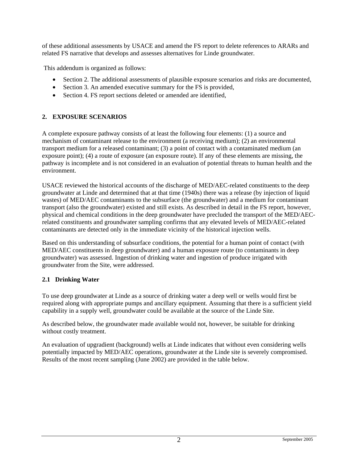<span id="page-3-0"></span>of these additional assessments by USACE and amend the FS report to delete references to ARARs and related FS narrative that develops and assesses alternatives for Linde groundwater.

This addendum is organized as follows:

- Section 2. The additional assessments of plausible exposure scenarios and risks are documented,
- Section 3. An amended executive summary for the FS is provided,
- Section 4. FS report sections deleted or amended are identified,

### **2. EXPOSURE SCENARIOS**

A complete exposure pathway consists of at least the following four elements: (1) a source and mechanism of contaminant release to the environment (a receiving medium); (2) an environmental transport medium for a released contaminant; (3) a point of contact with a contaminated medium (an exposure point); (4) a route of exposure (an exposure route). If any of these elements are missing, the pathway is incomplete and is not considered in an evaluation of potential threats to human health and the environment.

USACE reviewed the historical accounts of the discharge of MED/AEC-related constituents to the deep groundwater at Linde and determined that at that time (1940s) there was a release (by injection of liquid wastes) of MED/AEC contaminants to the subsurface (the groundwater) and a medium for contaminant transport (also the groundwater) existed and still exists. As described in detail in the FS report, however, physical and chemical conditions in the deep groundwater have precluded the transport of the MED/AECrelated constituents and groundwater sampling confirms that any elevated levels of MED/AEC-related contaminants are detected only in the immediate vicinity of the historical injection wells.

Based on this understanding of subsurface conditions, the potential for a human point of contact (with MED/AEC constituents in deep groundwater) and a human exposure route (to contaminants in deep groundwater) was assessed. Ingestion of drinking water and ingestion of produce irrigated with groundwater from the Site, were addressed.

#### **2.1 Drinking Water**

To use deep groundwater at Linde as a source of drinking water a deep well or wells would first be required along with appropriate pumps and ancillary equipment. Assuming that there is a sufficient yield capability in a supply well, groundwater could be available at the source of the Linde Site.

As described below, the groundwater made available would not, however, be suitable for drinking without costly treatment.

An evaluation of upgradient (background) wells at Linde indicates that without even considering wells potentially impacted by MED/AEC operations, groundwater at the Linde site is severely compromised. Results of the most recent sampling (June 2002) are provided in the table below.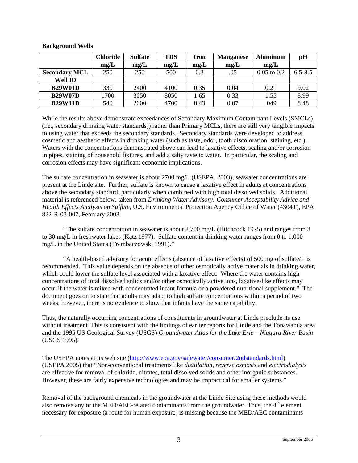|                      | Chloride | <b>Sulfate</b> | <b>TDS</b> | Iron | <b>Manganese</b> | <b>Aluminum</b> | pH          |
|----------------------|----------|----------------|------------|------|------------------|-----------------|-------------|
|                      | mg/L     | mg/L           | mg/L       | mg/L | mg/L             | mg/L            |             |
| <b>Secondary MCL</b> | 250      | 250            | 500        | 0.3  | .05              | $0.05$ to $0.2$ | $6.5 - 8.5$ |
| <b>Well ID</b>       |          |                |            |      |                  |                 |             |
| <b>B29W01D</b>       | 330      | 2400           | 4100       | 0.35 | 0.04             | 0.21            | 9.02        |
| <b>B29W07D</b>       | 1700     | 3650           | 8050       | 1.65 | 0.33             | 1.55            | 8.99        |
| <b>B29W11D</b>       | 540      | 2600           | 4700       | 0.43 | 0.07             | .049            | 8.48        |

#### **Background Wells**

While the results above demonstrate exceedances of Secondary Maximum Contaminant Levels (SMCLs) (i.e., secondary drinking water standards)) rather than Primary MCLs, there are still very tangible impacts to using water that exceeds the secondary standards. Secondary standards were developed to address cosmetic and aesthetic effects in drinking water (such as taste, odor, tooth discoloration, staining, etc.). Waters with the concentrations demonstrated above can lead to laxative effects, scaling and/or corrosion in pipes, staining of household fixtures, and add a salty taste to water. In particular, the scaling and corrosion effects may have significant economic implications.

The sulfate concentration in seawater is about 2700 mg/L (USEPA 2003); seawater concentrations are present at the Linde site. Further, sulfate is known to cause a laxative effect in adults at concentrations above the secondary standard, particularly when combined with high total dissolved solids. Additional material is referenced below, taken from *Drinking Water Advisory: Consumer Acceptability Advice and Health Effects Analysis on Sulfate*, U.S. Environmental Protection Agency Office of Water (4304T), EPA 822-R-03-007, February 2003.

"The sulfate concentration in seawater is about 2,700 mg/L (Hitchcock 1975) and ranges from 3 to 30 mg/L in freshwater lakes (Katz 1977). Sulfate content in drinking water ranges from 0 to 1,000 mg/L in the United States (Trembaczowski 1991)."

"A health-based advisory for acute effects (absence of laxative effects) of 500 mg of sulfate/L is recommended. This value depends on the absence of other osmotically active materials in drinking water, which could lower the sulfate level associated with a laxative effect. Where the water contains high concentrations of total dissolved solids and/or other osmotically active ions, laxative-like effects may occur if the water is mixed with concentrated infant formula or a powdered nutritional supplement." The document goes on to state that adults may adapt to high sulfate concentrations within a period of two weeks, however, there is no evidence to show that infants have the same capability.

Thus, the naturally occurring concentrations of constituents in groundwater at Linde preclude its use without treatment. This is consistent with the findings of earlier reports for Linde and the Tonawanda area and the 1995 US Geological Survey (USGS) *Groundwater Atlas for the Lake Erie – Niagara River Basin* (USGS 1995).

The USEPA notes at its web site (<http://www.epa.gov/safewater/consumer/2ndstandards.html>) (USEPA 2005) that "Non-conventional treatments like *distillation, reverse osmosis* and *electrodialysis*  are effective for removal of chloride, nitrates, total dissolved solids and other inorganic substances. However, these are fairly expensive technologies and may be impractical for smaller systems."

Removal of the background chemicals in the groundwater at the Linde Site using these methods would also remove any of the MED/AEC-related contaminants from the groundwater. Thus, the 4<sup>th</sup> element necessary for exposure (a route for human exposure) is missing because the MED/AEC contaminants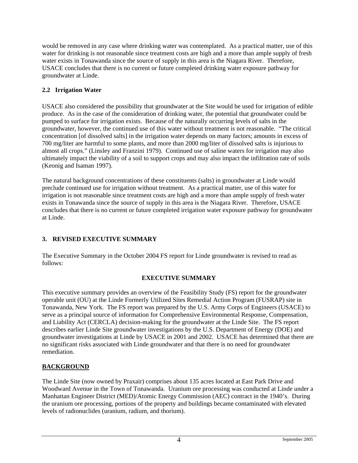<span id="page-5-0"></span>would be removed in any case where drinking water was contemplated. As a practical matter, use of this water for drinking is not reasonable since treatment costs are high and a more than ample supply of fresh water exists in Tonawanda since the source of supply in this area is the Niagara River. Therefore, USACE concludes that there is no current or future completed drinking water exposure pathway for groundwater at Linde.

# **2.2 Irrigation Water**

USACE also considered the possibility that groundwater at the Site would be used for irrigation of edible produce. As in the case of the consideration of drinking water, the potential that groundwater could be pumped to surface for irrigation exists. Because of the naturally occurring levels of salts in the groundwater, however, the continued use of this water without treatment is not reasonable. "The critical concentration [of dissolved salts] in the irrigation water depends on many factors; amounts in excess of 700 mg/liter are harmful to some plants, and more than 2000 mg/liter of dissolved salts is injurious to almost all crops." (Linsley and Franzini 1979). Continued use of saline waters for irrigation may also ultimately impact the viability of a soil to support crops and may also impact the infiltration rate of soils (Keonig and Isaman 1997).

The natural background concentrations of these constituents (salts) in groundwater at Linde would preclude continued use for irrigation without treatment. As a practical matter, use of this water for irrigation is not reasonable since treatment costs are high and a more than ample supply of fresh water exists in Tonawanda since the source of supply in this area is the Niagara River. Therefore, USACE concludes that there is no current or future completed irrigation water exposure pathway for groundwater at Linde.

# **3. REVISED EXECUTIVE SUMMARY**

The Executive Summary in the October 2004 FS report for Linde groundwater is revised to read as follows:

## **EXECUTIVE SUMMARY**

This executive summary provides an overview of the Feasibility Study (FS) report for the groundwater operable unit (OU) at the Linde Formerly Utilized Sites Remedial Action Program (FUSRAP) site in Tonawanda, New York. The FS report was prepared by the U.S. Army Corps of Engineers (USACE) to serve as a principal source of information for Comprehensive Environmental Response, Compensation, and Liability Act (CERCLA) decision-making for the groundwater at the Linde Site. The FS report describes earlier Linde Site groundwater investigations by the U.S. Department of Energy (DOE) and groundwater investigations at Linde by USACE in 2001 and 2002. USACE has determined that there are no significant risks associated with Linde groundwater and that there is no need for groundwater remediation.

## **BACKGROUND**

The Linde Site (now owned by Praxair) comprises about 135 acres located at East Park Drive and Woodward Avenue in the Town of Tonawanda. Uranium ore processing was conducted at Linde under a Manhattan Engineer District (MED)/Atomic Energy Commission (AEC) contract in the 1940's. During the uranium ore processing, portions of the property and buildings became contaminated with elevated levels of radionuclides (uranium, radium, and thorium).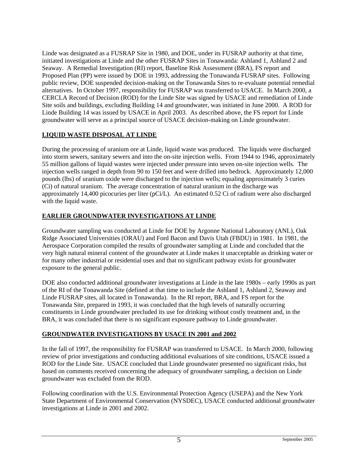Linde was designated as a FUSRAP Site in 1980, and DOE, under its FUSRAP authority at that time, initiated investigations at Linde and the other FUSRAP Sites in Tonawanda: Ashland 1, Ashland 2 and Seaway. A Remedial Investigation (RI) report, Baseline Risk Assessment (BRA), FS report and Proposed Plan (PP) were issued by DOE in 1993, addressing the Tonawanda FUSRAP sites. Following public review, DOE suspended decision-making on the Tonawanda Sites to re-evaluate potential remedial alternatives. In October 1997, responsibility for FUSRAP was transferred to USACE. In March 2000, a CERCLA Record of Decision (ROD) for the Linde Site was signed by USACE and remediation of Linde Site soils and buildings, excluding Building 14 and groundwater, was initiated in June 2000. A ROD for Linde Building 14 was issued by USACE in April 2003. As described above, the FS report for Linde groundwater will serve as a principal source of USACE decision-making on Linde groundwater.

## **LIQUID WASTE DISPOSAL AT LINDE**

During the processing of uranium ore at Linde, liquid waste was produced. The liquids were discharged into storm sewers, sanitary sewers and into the on-site injection wells. From 1944 to 1946, approximately 55 million gallons of liquid wastes were injected under pressure into seven on-site injection wells. The injection wells ranged in depth from 90 to 150 feet and were drilled into bedrock. Approximately 12,000 pounds (lbs) of uranium oxide were discharged to the injection wells; equaling approximately 3 curies (Ci) of natural uranium. The average concentration of natural uranium in the discharge was approximately 14,400 picocuries per liter (pCi/L). An estimated 0.52 Ci of radium were also discharged with the liquid waste.

## **EARLIER GROUNDWATER INVESTIGATIONS AT LINDE**

Groundwater sampling was conducted at Linde for DOE by Argonne National Laboratory (ANL), Oak Ridge Associated Universities (ORAU) and Ford Bacon and Davis Utah (FBDU) in 1981. In 1981, the Aerospace Corporation compiled the results of groundwater sampling at Linde and concluded that the very high natural mineral content of the groundwater at Linde makes it unacceptable as drinking water or for many other industrial or residential uses and that no significant pathway exists for groundwater exposure to the general public.

DOE also conducted additional groundwater investigations at Linde in the late 1980s – early 1990s as part of the RI of the Tonawanda Site (defined at that time to include the Ashland 1, Ashland 2, Seaway and Linde FUSRAP sites, all located in Tonawanda). In the RI report, BRA, and FS report for the Tonawanda Site, prepared in 1993, it was concluded that the high levels of naturally occurring constituents in Linde groundwater precluded its use for drinking without costly treatment and, in the BRA, it was concluded that there is no significant exposure pathway to Linde groundwater.

## **GROUNDWATER INVESTIGATIONS BY USACE IN 2001 and 2002**

In the fall of 1997, the responsibility for FUSRAP was transferred to USACE. In March 2000, following review of prior investigations and conducting additional evaluations of site conditions, USACE issued a ROD for the Linde Site. USACE concluded that Linde groundwater presented no significant risks, but based on comments received concerning the adequacy of groundwater sampling, a decision on Linde groundwater was excluded from the ROD.

Following coordination with the U.S. Environmental Protection Agency (USEPA) and the New York State Department of Environmental Conservation (NYSDEC), USACE conducted additional groundwater investigations at Linde in 2001 and 2002.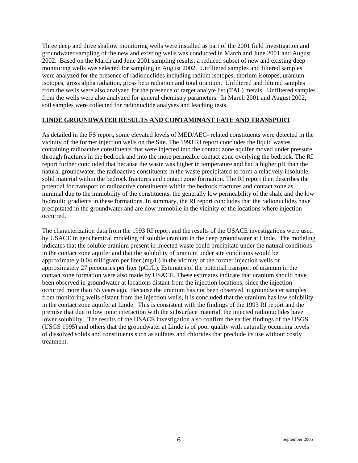Three deep and three shallow monitoring wells were installed as part of the 2001 field investigation and groundwater sampling of the new and existing wells was conducted in March and June 2001 and August 2002. Based on the March and June 2001 sampling results, a reduced subset of new and existing deep monitoring wells was selected for sampling in August 2002. Unfiltered samples and filtered samples were analyzed for the presence of radionuclides including radium isotopes, thorium isotopes, uranium isotopes, gross alpha radiation, gross beta radiation and total uranium. Unfiltered and filtered samples from the wells were also analyzed for the presence of target analyte list (TAL) metals. Unfiltered samples from the wells were also analyzed for general chemistry parameters. In March 2001 and August 2002, soil samples were collected for radionuclide analyses and leaching tests.

#### **LINDE GROUNDWATER RESULTS AND CONTAMINANT FATE AND TRANSPORT**

As detailed in the FS report, some elevated levels of MED/AEC- related constituents were detected in the vicinity of the former injection wells on the Site. The 1993 RI report concludes the liquid wastes containing radioactive constituents that were injected into the contact zone aquifer moved under pressure through fractures in the bedrock and into the more permeable contact zone overlying the bedrock. The RI report further concluded that because the waste was higher in temperature and had a higher pH than the natural groundwater, the radioactive constituents in the waste precipitated to form a relatively insoluble solid material within the bedrock fractures and contact zone formation. The RI report then describes the potential for transport of radioactive constituents within the bedrock fractures and contact zone as minimal due to the immobility of the constituents, the generally low permeability of the shale and the low hydraulic gradients in these formations. In summary, the RI report concludes that the radionuclides have precipitated in the groundwater and are now immobile in the vicinity of the locations where injection occurred.

The characterization data from the 1993 RI report and the results of the USACE investigations were used by USACE in geochemical modeling of soluble uranium in the deep groundwater at Linde. The modeling indicates that the soluble uranium present in injected waste could precipitate under the natural conditions in the contact zone aquifer and that the solubility of uranium under site conditions would be approximately 0.04 milligram per liter (mg/L) in the vicinity of the former injection wells or approximately 27 picocuries per liter (pCi/L). Estimates of the potential transport of uranium in the contact zone formation were also made by USACE. These estimates indicate that uranium should have been observed in groundwater at locations distant from the injection locations, since the injection occurred more than 55 years ago. Because the uranium has not been observed in groundwater samples from monitoring wells distant from the injection wells, it is concluded that the uranium has low solubility in the contact zone aquifer at Linde. This is consistent with the findings of the 1993 RI report and the premise that due to low ionic interaction with the subsurface material, the injected radionuclides have lower solubility. The results of the USACE investigation also confirm the earlier findings of the USGS (USGS 1995) and others that the groundwater at Linde is of poor quality with naturally occurring levels of dissolved solids and constituents such as sulfates and chlorides that preclude its use without costly treatment.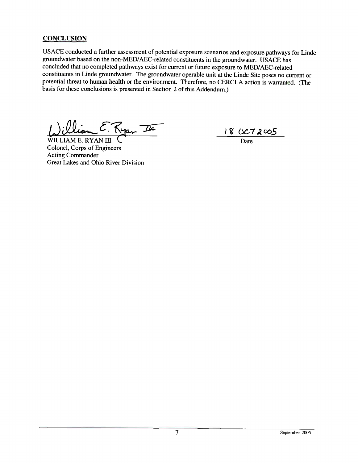# **CONCLUSION**

USACE conducted a further assessment of potential exposure scenarios and exposure pathways for Linde groundwater based on the non-MED/AEC-related constituents in the groundwater. USACE has concluded that no completed pathways exist for current or future exposure to MED/AEC-related constituents in Linde groundwater. The groundwater operable unit at the Linde Site poses no current or potential threat to human health or the environment. Therefore, no CERCLA action is warranted. (The basis for these conclusions is presented in Section 2 of this Addendum.)

E. Kyan II

WILLIAM E. RYAN III Colonel, Corps of Engineers **Acting Commander** Great Lakes and Ohio River Division

 $\frac{18 \text{ OC}72005}{\text{Date}}$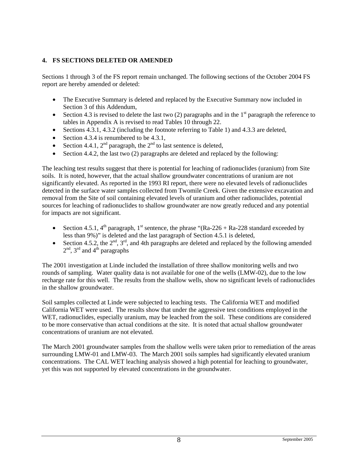### <span id="page-9-0"></span>**4. FS SECTIONS DELETED OR AMENDED**

Sections 1 through 3 of the FS report remain unchanged. The following sections of the October 2004 FS report are hereby amended or deleted:

- The Executive Summary is deleted and replaced by the Executive Summary now included in Section 3 of this Addendum,
- Section 4.3 is revised to delete the last two (2) paragraphs and in the  $1<sup>st</sup>$  paragraph the reference to tables in Appendix A is revised to read Tables 10 through 22.
- Sections 4.3.1, 4.3.2 (including the footnote referring to Table 1) and 4.3.3 are deleted,
- Section 4.3.4 is renumbered to be 4.3.1,
- Section 4.4.1,  $2<sup>nd</sup>$  paragraph, the  $2<sup>nd</sup>$  to last sentence is deleted,
- Section 4.4.2, the last two (2) paragraphs are deleted and replaced by the following:

The leaching test results suggest that there is potential for leaching of radionuclides (uranium) from Site soils. It is noted, however, that the actual shallow groundwater concentrations of uranium are not significantly elevated. As reported in the 1993 RI report, there were no elevated levels of radionuclides detected in the surface water samples collected from Twomile Creek. Given the extensive excavation and removal from the Site of soil containing elevated levels of uranium and other radionuclides, potential sources for leaching of radionuclides to shallow groundwater are now greatly reduced and any potential for impacts are not significant.

- Section 4.5.1,  $4^{\text{th}}$  paragraph,  $1^{\text{st}}$  sentence, the phrase "(Ra-226 + Ra-228 standard exceeded by less than 9%)" is deleted and the last paragraph of Section 4.5.1 is deleted,
- Section 4.5.2, the  $2<sup>nd</sup>$ ,  $3<sup>rd</sup>$ , and 4th paragraphs are deleted and replaced by the following amended  $2<sup>nd</sup>$ ,  $3<sup>rd</sup>$  and  $4<sup>th</sup>$  paragraphs

The 2001 investigation at Linde included the installation of three shallow monitoring wells and two rounds of sampling. Water quality data is not available for one of the wells (LMW-02), due to the low recharge rate for this well. The results from the shallow wells, show no significant levels of radionuclides in the shallow groundwater.

Soil samples collected at Linde were subjected to leaching tests. The California WET and modified California WET were used. The results show that under the aggressive test conditions employed in the WET, radionuclides, especially uranium, may be leached from the soil. These conditions are considered to be more conservative than actual conditions at the site. It is noted that actual shallow groundwater concentrations of uranium are not elevated.

The March 2001 groundwater samples from the shallow wells were taken prior to remediation of the areas surrounding LMW-01 and LMW-03. The March 2001 soils samples had significantly elevated uranium concentrations. The CAL WET leaching analysis showed a high potential for leaching to groundwater, yet this was not supported by elevated concentrations in the groundwater.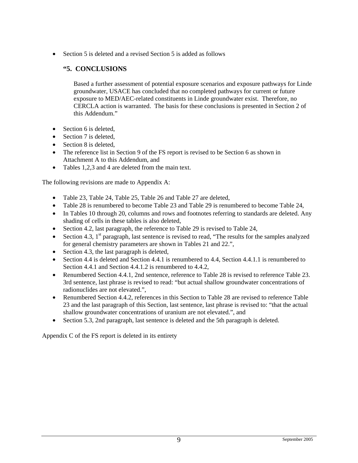• Section 5 is deleted and a revised Section 5 is added as follows

# **"5. CONCLUSIONS**

Based a further assessment of potential exposure scenarios and exposure pathways for Linde groundwater, USACE has concluded that no completed pathways for current or future exposure to MED/AEC-related constituents in Linde groundwater exist. Therefore, no CERCLA action is warranted. The basis for these conclusions is presented in Section 2 of this Addendum."

- Section 6 is deleted,
- Section 7 is deleted,
- Section 8 is deleted,
- The reference list in Section 9 of the FS report is revised to be Section 6 as shown in Attachment A to this Addendum, and
- Tables 1,2,3 and 4 are deleted from the main text.

The following revisions are made to Appendix A:

- Table 23, Table 24, Table 25, Table 26 and Table 27 are deleted,
- Table 28 is renumbered to become Table 23 and Table 29 is renumbered to become Table 24,
- In Tables 10 through 20, columns and rows and footnotes referring to standards are deleted. Any shading of cells in these tables is also deleted,
- Section 4.2, last paragraph, the reference to Table 29 is revised to Table 24,
- Section 4.3,  $1<sup>st</sup>$  paragraph, last sentence is revised to read, "The results for the samples analyzed for general chemistry parameters are shown in Tables 21 and 22.",
- Section 4.3, the last paragraph is deleted,
- Section 4.4 is deleted and Section 4.4.1 is renumbered to 4.4, Section 4.4.1.1 is renumbered to Section 4.4.1 and Section 4.4.1.2 is renumbered to 4.4.2,
- Renumbered Section 4.4.1, 2nd sentence, reference to Table 28 is revised to reference Table 23. 3rd sentence, last phrase is revised to read: "but actual shallow groundwater concentrations of radionuclides are not elevated.",
- Renumbered Section 4.4.2, references in this Section to Table 28 are revised to reference Table 23 and the last paragraph of this Section, last sentence, last phrase is revised to: "that the actual shallow groundwater concentrations of uranium are not elevated.", and
- Section 5.3, 2nd paragraph, last sentence is deleted and the 5th paragraph is deleted.

Appendix C of the FS report is deleted in its entirety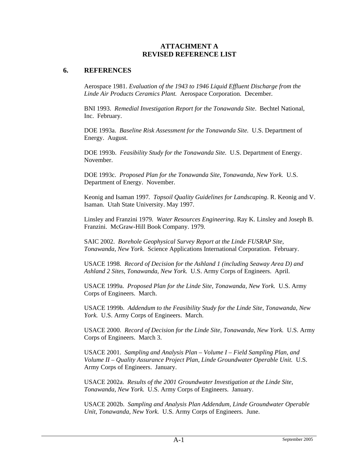#### **ATTACHMENT A REVISED REFERENCE LIST**

#### **6. REFERENCES**

Aerospace 1981. *Evaluation of the 1943 to 1946 Liquid Effluent Discharge from the Linde Air Products Ceramics Plant.* Aerospace Corporation. December.

BNI 1993. *Remedial Investigation Report for the Tonawanda Site*. Bechtel National, Inc. February.

DOE 1993a. *Baseline Risk Assessment for the Tonawanda Site.* U.S. Department of Energy. August.

DOE 1993b. *Feasibility Study for the Tonawanda Site.* U.S. Department of Energy. November.

DOE 1993c. *Proposed Plan for the Tonawanda Site, Tonawanda, New York.* U.S. Department of Energy. November.

Keonig and Isaman 1997*. Topsoil Quality Guidelines for Landscaping*. R. Keonig and V. Isaman. Utah State University. May 1997.

Linsley and Franzini 1979*. Water Resources Engineering*. Ray K. Linsley and Joseph B. Franzini. McGraw-Hill Book Company. 1979.

SAIC 2002. *Borehole Geophysical Survey Report at the Linde FUSRAP Site, Tonawanda, New York*. Science Applications International Corporation. February.

USACE 1998. *Record of Decision for the Ashland 1 (including Seaway Area D) and Ashland 2 Sites, Tonawanda, New York.* U.S. Army Corps of Engineers. April.

USACE 1999a. *Proposed Plan for the Linde Site, Tonawanda, New York.* U.S. Army Corps of Engineers. March.

USACE 1999b. *Addendum to the Feasibility Study for the Linde Site, Tonawanda, New York.* U.S. Army Corps of Engineers. March.

USACE 2000. *Record of Decision for the Linde Site, Tonawanda, New York.* U.S. Army Corps of Engineers. March 3.

USACE 2001. *Sampling and Analysis Plan – Volume I – Field Sampling Plan, and Volume II – Quality Assurance Project Plan, Linde Groundwater Operable Unit.* U.S. Army Corps of Engineers. January.

USACE 2002a. *Results of the 2001 Groundwater Investigation at the Linde Site, Tonawanda, New York.* U.S. Army Corps of Engineers. January.

USACE 2002b. *Sampling and Analysis Plan Addendum, Linde Groundwater Operable Unit, Tonawanda, New York.* U.S. Army Corps of Engineers. June.